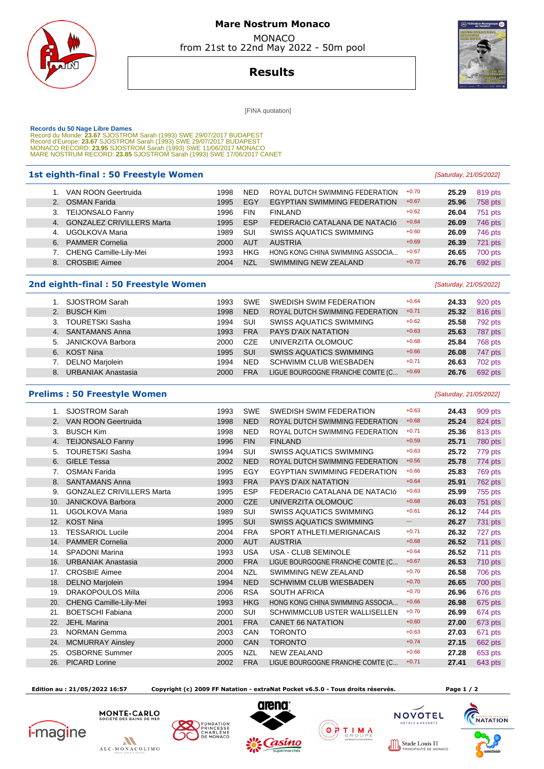

# **Mare Nostrum Monaco**  MONACO

from 21st to 22nd May 2022 - 50m pool



**Results**

[FINA quotation]

Records du 50 Nage Libre Dames<br>Record du Monde: 23.67 SJOSTROM Sarah (1993) SWE 29/07/2017 BUDAPEST<br>Record d'Europe: 23.67 SJOSTROM Sarah (1993) SWE 29/07/2017 BUDAPEST<br>Record d'Europe: 23.95 SJOSTROM Sarah (1993) SWE 11/0

### **1st eighth-final : 50 Freestyle Women and Saturday, 21/05/2022** [Saturday, 21/05/2022]

|                | 1. VAN ROON Geertruida       | 1998 | <b>NED</b> | ROYAL DUTCH SWIMMING FEDERATION     | $+0.70$ | 25.29 | 819 pts        |
|----------------|------------------------------|------|------------|-------------------------------------|---------|-------|----------------|
|                | 2. OSMAN Farida              | 1995 | EGY        | <b>EGYPTIAN SWIMMING FEDERATION</b> | $+0.67$ | 25.96 | <b>758 pts</b> |
|                | 3. TEIJONSALO Fanny          | 1996 | <b>FIN</b> | <b>FINLAND</b>                      | $+0.62$ | 26.04 | 751 pts        |
|                | 4. GONZALEZ CRIVILLERS Marta | 1995 | <b>ESP</b> | FEDERACIÓ CATALANA DE NATACIÓ       | $+0.64$ | 26.09 | 746 pts        |
| 4 <sup>1</sup> | UGOLKOVA Maria               | 1989 | SUI        | <b>SWISS AQUATICS SWIMMING</b>      | $+0.60$ | 26.09 | 746 pts        |
|                | 6. PAMMER Cornelia           | 2000 | <b>AUT</b> | <b>AUSTRIA</b>                      | $+0.69$ | 26.39 | 721 pts        |
|                | 7. CHENG Camille-Lily-Mei    | 1993 | <b>HKG</b> | HONG KONG CHINA SWIMMING ASSOCIA    | $+0.67$ | 26.65 | 700 pts        |
|                | 8. CROSBIE Aimee             | 2004 | <b>NZL</b> | SWIMMING NEW ZEALAND                | $+0.72$ | 26.76 | 692 pts        |
|                |                              |      |            |                                     |         |       |                |

### **2nd eighth-final : 50 Freestyle Women Example 2nd eighth-final : 50 Freestyle Women**

|    | <b>SJOSTROM Sarah</b>     | 1993 | <b>SWE</b> | SWEDISH SWIM FEDERATION          | $+0.64$ | 24.33 | 920 pts |
|----|---------------------------|------|------------|----------------------------------|---------|-------|---------|
|    | <b>BUSCH Kim</b>          | 1998 | <b>NED</b> | ROYAL DUTCH SWIMMING FEDERATION  | $+0.71$ | 25.32 | 816 pts |
| 3. | <b>TOURETSKI Sasha</b>    | 1994 | SUI        | <b>SWISS AQUATICS SWIMMING</b>   | $+0.62$ | 25.58 | 792 pts |
|    | 4. SANTAMANS Anna         | 1993 | <b>FRA</b> | PAYS D'AIX NATATION              | $+0.63$ | 25.63 | 787 pts |
|    | 5. JANICKOVA Barbora      | 2000 | <b>CZE</b> | UNIVERZITA OLOMOUC               | $+0.68$ | 25.84 | 768 pts |
| 6. | KOST Nina                 | 1995 | SUI        | <b>SWISS AQUATICS SWIMMING</b>   | $+0.66$ | 26.08 | 747 pts |
|    | <b>DELNO Marjolein</b>    | 1994 | <b>NED</b> | <b>SCHWIMM CLUB WIESBADEN</b>    | $+0.71$ | 26.63 | 702 pts |
| 8. | <b>URBANIAK Anastasia</b> | 2000 | <b>FRA</b> | LIGUE BOURGOGNE FRANCHE COMTE (C | $+0.69$ | 26.76 | 692 pts |

### **Prelims : 50 Freestyle Women Exercía Exercía Exercía Exercía Exercía Exercía Estados (Saturday, 21/05/2022)**

| $1_{\cdot}$ | <b>SJOSTROM Sarah</b>            | 1993 | <b>SWE</b> | SWEDISH SWIM FEDERATION              | $+0.63$ | 24.43 | 909 pts |
|-------------|----------------------------------|------|------------|--------------------------------------|---------|-------|---------|
| 2.          | <b>VAN ROON Geertruida</b>       | 1998 | <b>NED</b> | ROYAL DUTCH SWIMMING FEDERATION      | $+0.68$ | 25.24 | 824 pts |
| 3.          | <b>BUSCH Kim</b>                 | 1998 | <b>NED</b> | ROYAL DUTCH SWIMMING FEDERATION      | $+0.71$ | 25.36 | 813 pts |
| 4.          | <b>TEIJONSALO Fanny</b>          | 1996 | <b>FIN</b> | <b>FINLAND</b>                       | $+0.59$ | 25.71 | 780 pts |
| 5.          | <b>TOURETSKI Sasha</b>           | 1994 | <b>SUI</b> | <b>SWISS AQUATICS SWIMMING</b>       | $+0.63$ | 25.72 | 779 pts |
| 6.          | <b>GIELE Tessa</b>               | 2002 | <b>NED</b> | ROYAL DUTCH SWIMMING FEDERATION      | $+0.56$ | 25.78 | 774 pts |
| 7.          | <b>OSMAN Farida</b>              | 1995 | EGY        | <b>EGYPTIAN SWIMMING FEDERATION</b>  | $+0.66$ | 25.83 | 769 pts |
| 8.          | <b>SANTAMANS Anna</b>            | 1993 | <b>FRA</b> | <b>PAYS D'AIX NATATION</b>           | $+0.64$ | 25.91 | 762 pts |
| 9.          | <b>GONZALEZ CRIVILLERS Marta</b> | 1995 | <b>ESP</b> | FEDERACIÓ CATALANA DE NATACIÓ        | $+0.63$ | 25.99 | 755 pts |
| 10.         | <b>JANICKOVA Barbora</b>         | 2000 | <b>CZE</b> | UNIVERZITA OLOMOUC                   | $+0.68$ | 26.03 | 751 pts |
| 11.         | UGOLKOVA Maria                   | 1989 | <b>SUI</b> | <b>SWISS AQUATICS SWIMMING</b>       | $+0.61$ | 26.12 | 744 pts |
| 12.         | <b>KOST Nina</b>                 | 1995 | <b>SUI</b> | <b>SWISS AQUATICS SWIMMING</b>       | ---     | 26.27 | 731 pts |
| 13.         | <b>TESSARIOL Lucile</b>          | 2004 | <b>FRA</b> | SPORT ATHLETI, MERIGNACAIS           | $+0.71$ | 26.32 | 727 pts |
| 14.         | <b>PAMMER Cornelia</b>           | 2000 | <b>AUT</b> | <b>AUSTRIA</b>                       | $+0.68$ | 26.52 | 711 pts |
| 14.         | <b>SPADONI Marina</b>            | 1993 | <b>USA</b> | <b>USA - CLUB SEMINOLE</b>           | $+0.64$ | 26.52 | 711 pts |
| 16.         | <b>URBANIAK Anastasia</b>        | 2000 | <b>FRA</b> | LIGUE BOURGOGNE FRANCHE COMTE (C     | $+0.67$ | 26.53 | 710 pts |
| 17.         | <b>CROSBIE Aimee</b>             | 2004 | <b>NZL</b> | SWIMMING NEW ZEALAND                 | $+0.70$ | 26.58 | 706 pts |
| 18.         | <b>DELNO Marjolein</b>           | 1994 | <b>NED</b> | <b>SCHWIMM CLUB WIESBADEN</b>        | $+0.70$ | 26.65 | 700 pts |
| 19.         | <b>DRAKOPOULOS Milla</b>         | 2006 | <b>RSA</b> | <b>SOUTH AFRICA</b>                  | $+0.70$ | 26.96 | 676 pts |
| 20.         | CHENG Camille-Lily-Mei           | 1993 | <b>HKG</b> | HONG KONG CHINA SWIMMING ASSOCIA     | $+0.66$ | 26.98 | 675 pts |
| 21.         | <b>BOETSCHI Fabiana</b>          | 2000 | <b>SUI</b> | <b>SCHWIMMCLUB USTER WALLISELLEN</b> | $+0.70$ | 26.99 | 674 pts |
| 22.         | <b>JEHL Marina</b>               | 2001 | <b>FRA</b> | <b>CANET 66 NATATION</b>             | $+0.60$ | 27.00 | 673 pts |
| 23.         | <b>NORMAN Gemma</b>              | 2003 | CAN        | <b>TORONTO</b>                       | $+0.63$ | 27.03 | 671 pts |
| 24.         | <b>MCMURRAY Ainsley</b>          | 2000 | CAN        | <b>TORONTO</b>                       | $+0.74$ | 27.15 | 662 pts |
| 25.         | <b>OSBORNE Summer</b>            | 2005 | <b>NZL</b> | <b>NEW ZEALAND</b>                   | $+0.66$ | 27.28 | 653 pts |
| 26.         | <b>PICARD Lorine</b>             | 2002 | <b>FRA</b> | LIGUE BOURGOGNE FRANCHE COMTE (C     | $+0.71$ | 27.41 | 643 pts |
|             |                                  |      |            |                                      |         |       |         |

 **Edition au : 21/05/2022 16:57 Copyright (c) 2009 FF Natation - extraNat Pocket v6.5.0 - Tous droits réservés. Page 1 / 2** 

**NOVOTEL** 

 $T = 1$   $T = 1$ 

UIS II<br>EDE MONACC